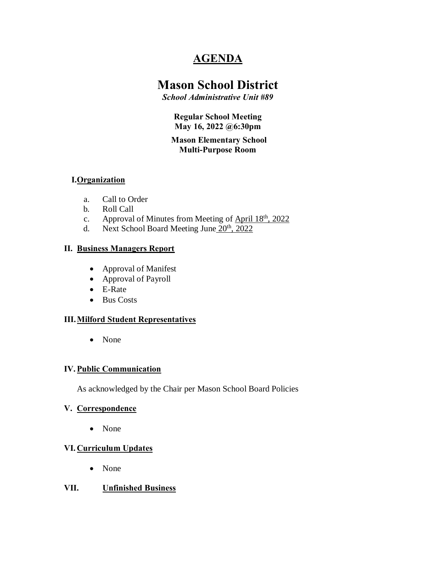## **AGENDA**

# **Mason School District**

*School Administrative Unit #89*

**Regular School Meeting May 16, 2022 @6:30pm**

#### **Mason Elementary School Multi-Purpose Room**

## **I.Organization**

- a. Call to Order
- b. Roll Call
- c. Approval of Minutes from Meeting of April  $18<sup>th</sup>$ , 2022
- d. Next School Board Meeting June  $20^{th}$ ,  $2022$

## **II. Business Managers Report**

- Approval of Manifest
- · Approval of Payroll
- · E-Rate
- · Bus Costs

## **III.Milford Student Representatives**

· None

## **IV.Public Communication**

As acknowledged by the Chair per Mason School Board Policies

## **V. Correspondence**

• None

## **VI. Curriculum Updates**

• None

## **VII. Unfinished Business**